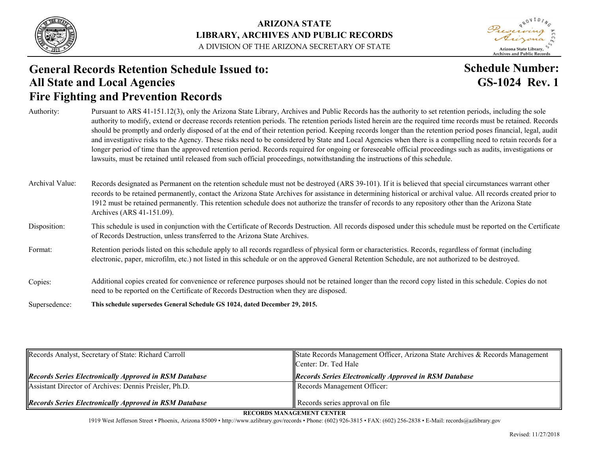

#### **ARIZONA STATE LIBRARY, ARCHIVES AND PUBLIC RECORDS** A DIVISION OF THE ARIZONA SECRETARY OF STATE

Arizona State Library, **Archives and Public Records** 

### **Fire Fighting and Prevention Records General Records Retention Schedule Issued to: All State and Local Agencies**

### **Schedule Number: GS-1024 Rev. 1**

| Authority:      | Pursuant to ARS 41-151.12(3), only the Arizona State Library, Archives and Public Records has the authority to set retention periods, including the sole<br>authority to modify, extend or decrease records retention periods. The retention periods listed herein are the required time records must be retained. Records<br>should be promptly and orderly disposed of at the end of their retention period. Keeping records longer than the retention period poses financial, legal, audit<br>and investigative risks to the Agency. These risks need to be considered by State and Local Agencies when there is a compelling need to retain records for a<br>longer period of time than the approved retention period. Records required for ongoing or foreseeable official proceedings such as audits, investigations or<br>lawsuits, must be retained until released from such official proceedings, notwithstanding the instructions of this schedule. |
|-----------------|---------------------------------------------------------------------------------------------------------------------------------------------------------------------------------------------------------------------------------------------------------------------------------------------------------------------------------------------------------------------------------------------------------------------------------------------------------------------------------------------------------------------------------------------------------------------------------------------------------------------------------------------------------------------------------------------------------------------------------------------------------------------------------------------------------------------------------------------------------------------------------------------------------------------------------------------------------------|
| Archival Value: | Records designated as Permanent on the retention schedule must not be destroyed (ARS 39-101). If it is believed that special circumstances warrant other<br>records to be retained permanently, contact the Arizona State Archives for assistance in determining historical or archival value. All records created prior to<br>1912 must be retained permanently. This retention schedule does not authorize the transfer of records to any repository other than the Arizona State<br>Archives (ARS 41-151.09).                                                                                                                                                                                                                                                                                                                                                                                                                                              |
| Disposition:    | This schedule is used in conjunction with the Certificate of Records Destruction. All records disposed under this schedule must be reported on the Certificate<br>of Records Destruction, unless transferred to the Arizona State Archives.                                                                                                                                                                                                                                                                                                                                                                                                                                                                                                                                                                                                                                                                                                                   |
| Format:         | Retention periods listed on this schedule apply to all records regardless of physical form or characteristics. Records, regardless of format (including<br>electronic, paper, microfilm, etc.) not listed in this schedule or on the approved General Retention Schedule, are not authorized to be destroyed.                                                                                                                                                                                                                                                                                                                                                                                                                                                                                                                                                                                                                                                 |
| Copies:         | Additional copies created for convenience or reference purposes should not be retained longer than the record copy listed in this schedule. Copies do not<br>need to be reported on the Certificate of Records Destruction when they are disposed.                                                                                                                                                                                                                                                                                                                                                                                                                                                                                                                                                                                                                                                                                                            |
| Supersedence:   | This schedule supersedes General Schedule GS 1024, dated December 29, 2015.                                                                                                                                                                                                                                                                                                                                                                                                                                                                                                                                                                                                                                                                                                                                                                                                                                                                                   |

| Records Analyst, Secretary of State: Richard Carroll          | State Records Management Officer, Arizona State Archives & Records Management<br>Center: Dr. Ted Hale |
|---------------------------------------------------------------|-------------------------------------------------------------------------------------------------------|
| <b>Records Series Electronically Approved in RSM Database</b> | <b>Records Series Electronically Approved in RSM Database</b>                                         |
| Assistant Director of Archives: Dennis Preisler, Ph.D.        | Records Management Officer:                                                                           |
| <b>Records Series Electronically Approved in RSM Database</b> | Records series approval on file                                                                       |

**RECORDS MANAGEMENT CENTER**

1919 West Jefferson Street • Phoenix, Arizona 85009 • http://www.azlibrary.gov/records • Phone: (602) 926-3815 • FAX: (602) 256-2838 • E-Mail: records@azlibrary.gov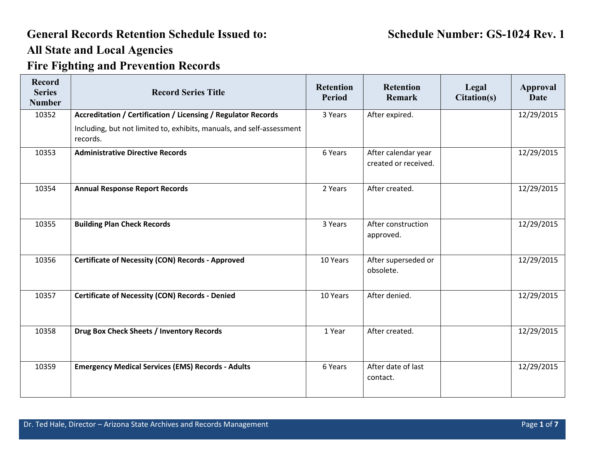| <b>Record</b><br><b>Series</b><br><b>Number</b> | <b>Record Series Title</b>                                                        | <b>Retention</b><br><b>Period</b> | <b>Retention</b><br>Remark                  | Legal<br>Citation(s) | <b>Approval</b><br><b>Date</b> |
|-------------------------------------------------|-----------------------------------------------------------------------------------|-----------------------------------|---------------------------------------------|----------------------|--------------------------------|
| 10352                                           | Accreditation / Certification / Licensing / Regulator Records                     | 3 Years                           | After expired.                              |                      | 12/29/2015                     |
|                                                 | Including, but not limited to, exhibits, manuals, and self-assessment<br>records. |                                   |                                             |                      |                                |
| 10353                                           | <b>Administrative Directive Records</b>                                           | 6 Years                           | After calendar year<br>created or received. |                      | 12/29/2015                     |
| 10354                                           | <b>Annual Response Report Records</b>                                             | 2 Years                           | After created.                              |                      | 12/29/2015                     |
| 10355                                           | <b>Building Plan Check Records</b>                                                | 3 Years                           | After construction<br>approved.             |                      | 12/29/2015                     |
| 10356                                           | <b>Certificate of Necessity (CON) Records - Approved</b>                          | 10 Years                          | After superseded or<br>obsolete.            |                      | 12/29/2015                     |
| 10357                                           | <b>Certificate of Necessity (CON) Records - Denied</b>                            | 10 Years                          | After denied.                               |                      | 12/29/2015                     |
| 10358                                           | Drug Box Check Sheets / Inventory Records                                         | 1 Year                            | After created.                              |                      | 12/29/2015                     |
| 10359                                           | <b>Emergency Medical Services (EMS) Records - Adults</b>                          | 6 Years                           | After date of last<br>contact.              |                      | 12/29/2015                     |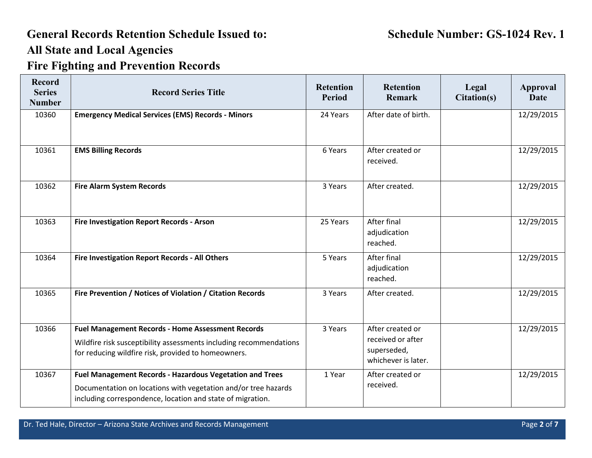| <b>Record</b><br><b>Series</b><br><b>Number</b> | <b>Record Series Title</b>                                                                                                                                                               | <b>Retention</b><br><b>Period</b> | <b>Retention</b><br>Remark                                                  | Legal<br>Citation(s) | <b>Approval</b><br><b>Date</b> |
|-------------------------------------------------|------------------------------------------------------------------------------------------------------------------------------------------------------------------------------------------|-----------------------------------|-----------------------------------------------------------------------------|----------------------|--------------------------------|
| 10360                                           | <b>Emergency Medical Services (EMS) Records - Minors</b>                                                                                                                                 | 24 Years                          | After date of birth.                                                        |                      | 12/29/2015                     |
| 10361                                           | <b>EMS Billing Records</b>                                                                                                                                                               | 6 Years                           | After created or<br>received.                                               |                      | 12/29/2015                     |
| 10362                                           | <b>Fire Alarm System Records</b>                                                                                                                                                         | 3 Years                           | After created.                                                              |                      | 12/29/2015                     |
| 10363                                           | <b>Fire Investigation Report Records - Arson</b>                                                                                                                                         | 25 Years                          | After final<br>adjudication<br>reached.                                     |                      | 12/29/2015                     |
| 10364                                           | Fire Investigation Report Records - All Others                                                                                                                                           | 5 Years                           | After final<br>adjudication<br>reached.                                     |                      | 12/29/2015                     |
| 10365                                           | Fire Prevention / Notices of Violation / Citation Records                                                                                                                                | 3 Years                           | After created.                                                              |                      | 12/29/2015                     |
| 10366                                           | <b>Fuel Management Records - Home Assessment Records</b><br>Wildfire risk susceptibility assessments including recommendations<br>for reducing wildfire risk, provided to homeowners.    | 3 Years                           | After created or<br>received or after<br>superseded,<br>whichever is later. |                      | 12/29/2015                     |
| 10367                                           | Fuel Management Records - Hazardous Vegetation and Trees<br>Documentation on locations with vegetation and/or tree hazards<br>including correspondence, location and state of migration. | 1 Year                            | After created or<br>received.                                               |                      | 12/29/2015                     |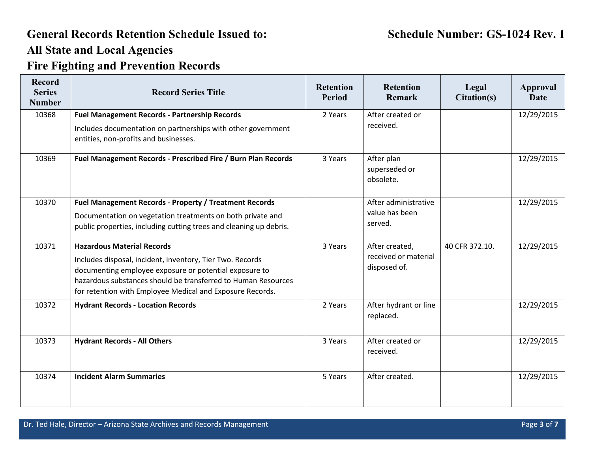| <b>Record</b><br><b>Series</b><br><b>Number</b> | <b>Record Series Title</b>                                                                                                                                                                                                                                                             | <b>Retention</b><br><b>Period</b> | <b>Retention</b><br><b>Remark</b>                      | Legal<br>Citation(s) | <b>Approval</b><br><b>Date</b> |
|-------------------------------------------------|----------------------------------------------------------------------------------------------------------------------------------------------------------------------------------------------------------------------------------------------------------------------------------------|-----------------------------------|--------------------------------------------------------|----------------------|--------------------------------|
| 10368                                           | <b>Fuel Management Records - Partnership Records</b>                                                                                                                                                                                                                                   | 2 Years                           | After created or                                       |                      | 12/29/2015                     |
|                                                 | Includes documentation on partnerships with other government<br>entities, non-profits and businesses.                                                                                                                                                                                  |                                   | received.                                              |                      |                                |
| 10369                                           | Fuel Management Records - Prescribed Fire / Burn Plan Records                                                                                                                                                                                                                          | 3 Years                           | After plan<br>superseded or<br>obsolete.               |                      | 12/29/2015                     |
| 10370                                           | <b>Fuel Management Records - Property / Treatment Records</b>                                                                                                                                                                                                                          |                                   | After administrative                                   |                      | 12/29/2015                     |
|                                                 | Documentation on vegetation treatments on both private and<br>public properties, including cutting trees and cleaning up debris.                                                                                                                                                       |                                   | value has been<br>served.                              |                      |                                |
| 10371                                           | <b>Hazardous Material Records</b><br>Includes disposal, incident, inventory, Tier Two. Records<br>documenting employee exposure or potential exposure to<br>hazardous substances should be transferred to Human Resources<br>for retention with Employee Medical and Exposure Records. | 3 Years                           | After created,<br>received or material<br>disposed of. | 40 CFR 372.10.       | 12/29/2015                     |
| 10372                                           | <b>Hydrant Records - Location Records</b>                                                                                                                                                                                                                                              | 2 Years                           | After hydrant or line<br>replaced.                     |                      | 12/29/2015                     |
| 10373                                           | <b>Hydrant Records - All Others</b>                                                                                                                                                                                                                                                    | 3 Years                           | After created or<br>received.                          |                      | 12/29/2015                     |
| 10374                                           | <b>Incident Alarm Summaries</b>                                                                                                                                                                                                                                                        | 5 Years                           | After created.                                         |                      | 12/29/2015                     |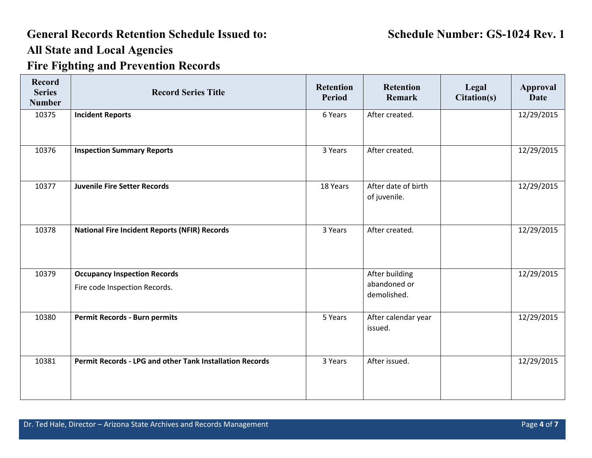# **General Records Retention Schedule Issued to: Schedule Number: GS-1024 Rev. 1 All State and Local Agencies**

## **Fire Fighting and Prevention Records**

| <b>Record</b><br><b>Series</b><br><b>Number</b> | <b>Record Series Title</b>                                           | <b>Retention</b><br><b>Period</b> | <b>Retention</b><br>Remark                    | Legal<br>Citation(s) | <b>Approval</b><br><b>Date</b> |
|-------------------------------------------------|----------------------------------------------------------------------|-----------------------------------|-----------------------------------------------|----------------------|--------------------------------|
| 10375                                           | <b>Incident Reports</b>                                              | 6 Years                           | After created.                                |                      | 12/29/2015                     |
| 10376                                           | <b>Inspection Summary Reports</b>                                    | 3 Years                           | After created.                                |                      | 12/29/2015                     |
| 10377                                           | <b>Juvenile Fire Setter Records</b>                                  | 18 Years                          | After date of birth<br>of juvenile.           |                      | 12/29/2015                     |
| 10378                                           | <b>National Fire Incident Reports (NFIR) Records</b>                 | 3 Years                           | After created.                                |                      | 12/29/2015                     |
| 10379                                           | <b>Occupancy Inspection Records</b><br>Fire code Inspection Records. |                                   | After building<br>abandoned or<br>demolished. |                      | 12/29/2015                     |
| 10380                                           | <b>Permit Records - Burn permits</b>                                 | 5 Years                           | After calendar year<br>issued.                |                      | 12/29/2015                     |
| 10381                                           | <b>Permit Records - LPG and other Tank Installation Records</b>      | 3 Years                           | After issued.                                 |                      | 12/29/2015                     |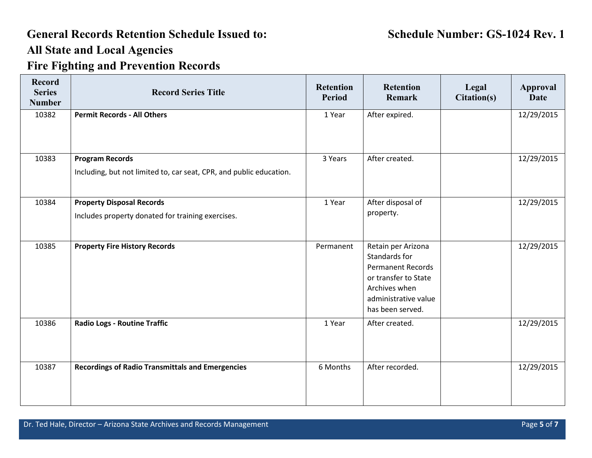| <b>Record</b><br><b>Series</b><br><b>Number</b> | <b>Record Series Title</b>                                                                    | <b>Retention</b><br><b>Period</b> | <b>Retention</b><br>Remark                                                                                                                           | Legal<br>Citation(s) | Approval<br><b>Date</b> |
|-------------------------------------------------|-----------------------------------------------------------------------------------------------|-----------------------------------|------------------------------------------------------------------------------------------------------------------------------------------------------|----------------------|-------------------------|
| 10382                                           | <b>Permit Records - All Others</b>                                                            | 1 Year                            | After expired.                                                                                                                                       |                      | 12/29/2015              |
| 10383                                           | <b>Program Records</b><br>Including, but not limited to, car seat, CPR, and public education. | 3 Years                           | After created.                                                                                                                                       |                      | 12/29/2015              |
| 10384                                           | <b>Property Disposal Records</b><br>Includes property donated for training exercises.         | 1 Year                            | After disposal of<br>property.                                                                                                                       |                      | 12/29/2015              |
| 10385                                           | <b>Property Fire History Records</b>                                                          | Permanent                         | Retain per Arizona<br>Standards for<br><b>Permanent Records</b><br>or transfer to State<br>Archives when<br>administrative value<br>has been served. |                      | 12/29/2015              |
| 10386                                           | <b>Radio Logs - Routine Traffic</b>                                                           | 1 Year                            | After created.                                                                                                                                       |                      | 12/29/2015              |
| 10387                                           | <b>Recordings of Radio Transmittals and Emergencies</b>                                       | 6 Months                          | After recorded.                                                                                                                                      |                      | 12/29/2015              |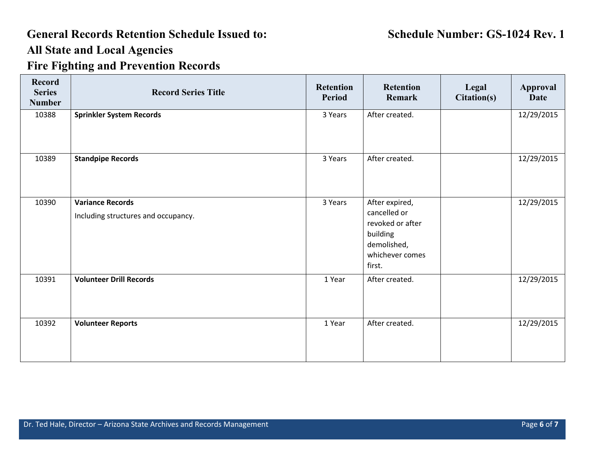| <b>Record</b><br><b>Series</b><br><b>Number</b> | <b>Record Series Title</b>                                     | <b>Retention</b><br><b>Period</b> | <b>Retention</b><br>Remark                                                                                 | Legal<br>Citation(s) | <b>Approval</b><br><b>Date</b> |
|-------------------------------------------------|----------------------------------------------------------------|-----------------------------------|------------------------------------------------------------------------------------------------------------|----------------------|--------------------------------|
| 10388                                           | <b>Sprinkler System Records</b>                                | 3 Years                           | After created.                                                                                             |                      | 12/29/2015                     |
| 10389                                           | <b>Standpipe Records</b>                                       | 3 Years                           | After created.                                                                                             |                      | 12/29/2015                     |
| 10390                                           | <b>Variance Records</b><br>Including structures and occupancy. | 3 Years                           | After expired,<br>cancelled or<br>revoked or after<br>building<br>demolished,<br>whichever comes<br>first. |                      | 12/29/2015                     |
| 10391                                           | <b>Volunteer Drill Records</b>                                 | 1 Year                            | After created.                                                                                             |                      | 12/29/2015                     |
| 10392                                           | <b>Volunteer Reports</b>                                       | 1 Year                            | After created.                                                                                             |                      | 12/29/2015                     |